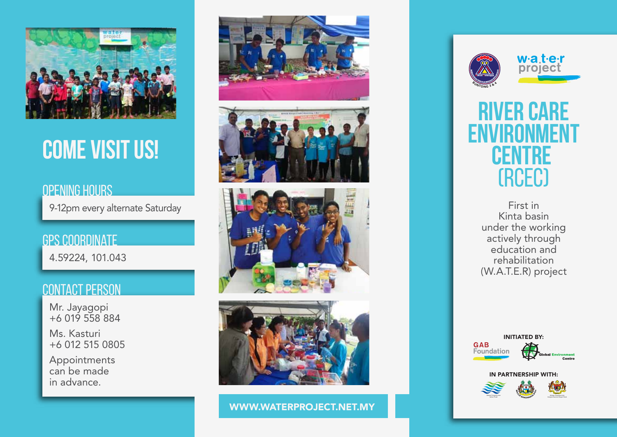

# **COME VISIT US!**

### OPENING HOURS

9-12pm every alternate Saturday

gps coordinate 4.59224, 101.043

#### contact person

Mr. Jayagopi +6 019 558 884

Ms. Kasturi +6 012 515 0805

Appointments can be made in advance.









WWW.WATERPROJECT.NET.MY





### **RARE ENVIRONMENT CENTRE**  (RCEC)

First in Kinta basin under the working actively through education and rehabilitation (W.A.T.E.R) project